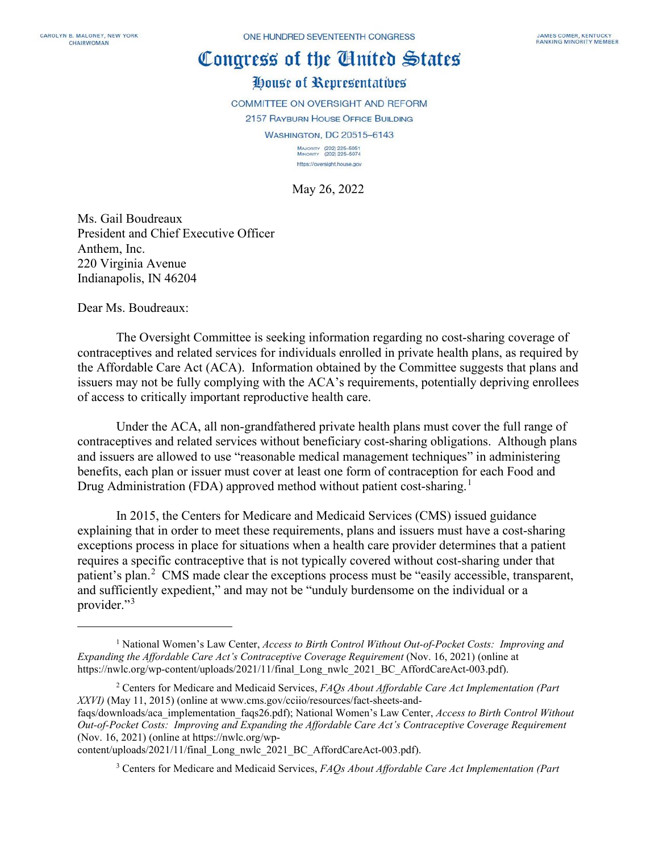## Congress of the Cinited States

## House of Representatives

COMMITTEE ON OVERSIGHT AND REFORM

2157 RAYBURN HOUSE OFFICE BUILDING

WASHINGTON, DC 20515-6143

MAJORITY (202) 225-5051<br>MINORITY (202) 225-5074 https://oversight.house.gov

May 26, 2022

Ms. Gail Boudreaux President and Chief Executive Officer Anthem, Inc. 220 Virginia Avenue Indianapolis, IN 46204

Dear Ms. Boudreaux:

The Oversight Committee is seeking information regarding no cost-sharing coverage of contraceptives and related services for individuals enrolled in private health plans, as required by the Affordable Care Act (ACA). Information obtained by the Committee suggests that plans and issuers may not be fully complying with the ACA's requirements, potentially depriving enrollees of access to critically important reproductive health care.

Under the ACA, all non-grandfathered private health plans must cover the full range of contraceptives and related services without beneficiary cost-sharing obligations. Although plans and issuers are allowed to use "reasonable medical management techniques" in administering benefits, each plan or issuer must cover at least one form of contraception for each Food and Drug Administration (FDA) approved method without patient cost-sharing.<sup>[1](#page-0-0)</sup>

In 2015, the Centers for Medicare and Medicaid Services (CMS) issued guidance explaining that in order to meet these requirements, plans and issuers must have a cost-sharing exceptions process in place for situations when a health care provider determines that a patient requires a specific contraceptive that is not typically covered without cost-sharing under that patient's plan.<sup>[2](#page-0-1)</sup> CMS made clear the exceptions process must be "easily accessible, transparent, and sufficiently expedient," and may not be "unduly burdensome on the individual or a provider."<sup>[3](#page-0-2)</sup>

<span id="page-0-1"></span><sup>2</sup> Centers for Medicare and Medicaid Services, *FAQs About Affordable Care Act Implementation (Part XXVI)* (May 11, 2015) (online at www.cms.gov/cciio/resources/fact-sheets-and-

faqs/downloads/aca\_implementation\_faqs26.pdf); National Women's Law Center, *Access to Birth Control Without Out-of-Pocket Costs: Improving and Expanding the Affordable Care Act's Contraceptive Coverage Requirement* (Nov. 16, 2021) (online at https://nwlc.org/wp-

<span id="page-0-2"></span>content/uploads/2021/11/final\_Long\_nwlc\_2021\_BC\_AffordCareAct-003.pdf).

<sup>3</sup> Centers for Medicare and Medicaid Services, *FAQs About Affordable Care Act Implementation (Part* 

<span id="page-0-0"></span><sup>1</sup> National Women's Law Center, *Access to Birth Control Without Out-of-Pocket Costs: Improving and Expanding the Affordable Care Act's Contraceptive Coverage Requirement* (Nov. 16, 2021) (online at https://nwlc.org/wp-content/uploads/2021/11/final\_Long\_nwlc\_2021\_BC\_AffordCareAct-003.pdf).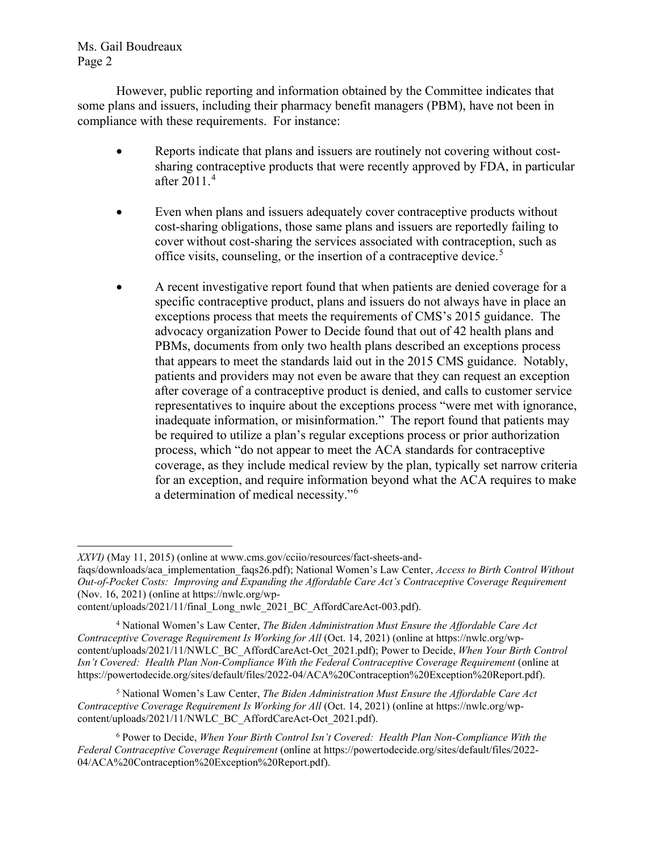Ms. Gail Boudreaux Page 2

However, public reporting and information obtained by the Committee indicates that some plans and issuers, including their pharmacy benefit managers (PBM), have not been in compliance with these requirements. For instance:

- Reports indicate that plans and issuers are routinely not covering without costsharing contraceptive products that were recently approved by FDA, in particular after 2011.[4](#page-1-0)
- Even when plans and issuers adequately cover contraceptive products without cost-sharing obligations, those same plans and issuers are reportedly failing to cover without cost-sharing the services associated with contraception, such as office visits, counseling, or the insertion of a contraceptive device.<sup>[5](#page-1-1)</sup>
- A recent investigative report found that when patients are denied coverage for a specific contraceptive product, plans and issuers do not always have in place an exceptions process that meets the requirements of CMS's 2015 guidance. The advocacy organization Power to Decide found that out of 42 health plans and PBMs, documents from only two health plans described an exceptions process that appears to meet the standards laid out in the 2015 CMS guidance. Notably, patients and providers may not even be aware that they can request an exception after coverage of a contraceptive product is denied, and calls to customer service representatives to inquire about the exceptions process "were met with ignorance, inadequate information, or misinformation." The report found that patients may be required to utilize a plan's regular exceptions process or prior authorization process, which "do not appear to meet the ACA standards for contraceptive coverage, as they include medical review by the plan, typically set narrow criteria for an exception, and require information beyond what the ACA requires to make a determination of medical necessity."[6](#page-1-2)

<span id="page-1-1"></span><sup>5</sup> National Women's Law Center, *The Biden Administration Must Ensure the Affordable Care Act Contraceptive Coverage Requirement Is Working for All* (Oct. 14, 2021) (online at https://nwlc.org/wpcontent/uploads/2021/11/NWLC\_BC\_AffordCareAct-Oct\_2021.pdf).

*XXVI)* (May 11, 2015) (online at www.cms.gov/cciio/resources/fact-sheets-and-

faqs/downloads/aca\_implementation\_faqs26.pdf); National Women's Law Center, *Access to Birth Control Without Out-of-Pocket Costs: Improving and Expanding the Affordable Care Act's Contraceptive Coverage Requirement* (Nov. 16, 2021) (online at https://nwlc.org/wp-

content/uploads/2021/11/final\_Long\_nwlc\_2021\_BC\_AffordCareAct-003.pdf).

<span id="page-1-0"></span><sup>4</sup> National Women's Law Center, *The Biden Administration Must Ensure the Affordable Care Act Contraceptive Coverage Requirement Is Working for All* (Oct. 14, 2021) (online at https://nwlc.org/wpcontent/uploads/2021/11/NWLC\_BC\_AffordCareAct-Oct\_2021.pdf); Power to Decide, *When Your Birth Control Isn't Covered: Health Plan Non-Compliance With the Federal Contraceptive Coverage Requirement* (online at https://powertodecide.org/sites/default/files/2022-04/ACA%20Contraception%20Exception%20Report.pdf).

<span id="page-1-2"></span><sup>6</sup> Power to Decide, *When Your Birth Control Isn't Covered: Health Plan Non-Compliance With the Federal Contraceptive Coverage Requirement* (online at https://powertodecide.org/sites/default/files/2022- 04/ACA%20Contraception%20Exception%20Report.pdf).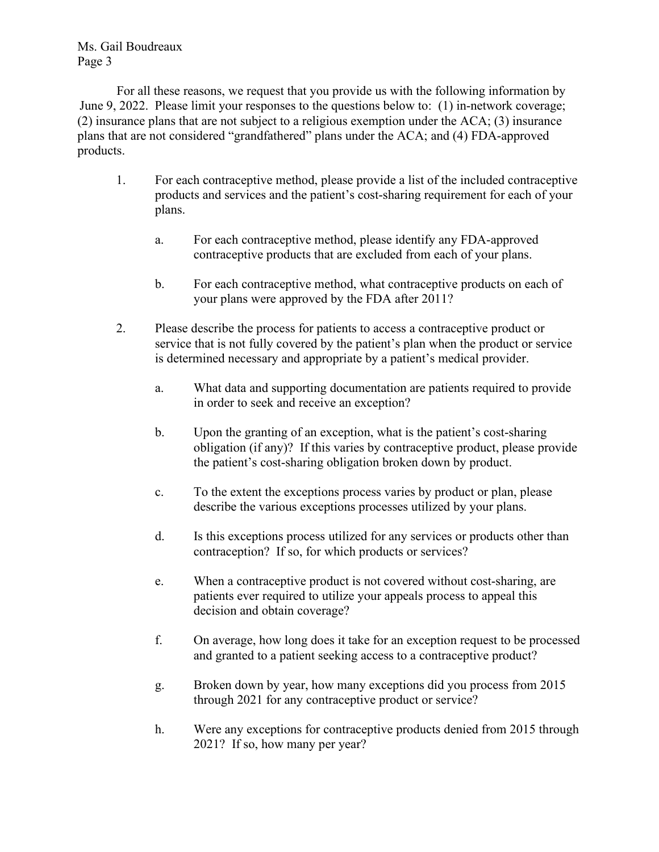Ms. Gail Boudreaux Page 3

For all these reasons, we request that you provide us with the following information by June 9, 2022. Please limit your responses to the questions below to: (1) in-network coverage; (2) insurance plans that are not subject to a religious exemption under the ACA; (3) insurance plans that are not considered "grandfathered" plans under the ACA; and (4) FDA-approved products.

- 1. For each contraceptive method, please provide a list of the included contraceptive products and services and the patient's cost-sharing requirement for each of your plans.
	- a. For each contraceptive method, please identify any FDA-approved contraceptive products that are excluded from each of your plans.
	- b. For each contraceptive method, what contraceptive products on each of your plans were approved by the FDA after 2011?
- 2. Please describe the process for patients to access a contraceptive product or service that is not fully covered by the patient's plan when the product or service is determined necessary and appropriate by a patient's medical provider.
	- a. What data and supporting documentation are patients required to provide in order to seek and receive an exception?
	- b. Upon the granting of an exception, what is the patient's cost-sharing obligation (if any)? If this varies by contraceptive product, please provide the patient's cost-sharing obligation broken down by product.
	- c. To the extent the exceptions process varies by product or plan, please describe the various exceptions processes utilized by your plans.
	- d. Is this exceptions process utilized for any services or products other than contraception? If so, for which products or services?
	- e. When a contraceptive product is not covered without cost-sharing, are patients ever required to utilize your appeals process to appeal this decision and obtain coverage?
	- f. On average, how long does it take for an exception request to be processed and granted to a patient seeking access to a contraceptive product?
	- g. Broken down by year, how many exceptions did you process from 2015 through 2021 for any contraceptive product or service?
	- h. Were any exceptions for contraceptive products denied from 2015 through 2021? If so, how many per year?